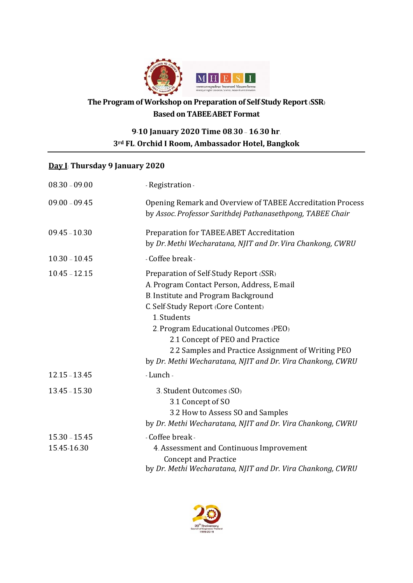

## **The Program of Workshop on Preparation of Self**-**Study Report**(**SSR**) **Based on TABEE**/**ABET Format**

## **9**-**10 January 2020 Time 08**.**30** – **16**.**30 hr**. **3rd FL**. **Orchid I Room, Ambassador Hotel, Bangkok**

## **Day I**: **Thursday 9 January 2020**

| $08.30 - 09.00$ | - Registration -                                                                                                                                                                                                                                                                                                                                                                  |
|-----------------|-----------------------------------------------------------------------------------------------------------------------------------------------------------------------------------------------------------------------------------------------------------------------------------------------------------------------------------------------------------------------------------|
| $09.00 - 09.45$ | Opening Remark and Overview of TABEE Accreditation Process<br>by Assoc. Professor Sarithdej Pathanasethpong, TABEE Chair                                                                                                                                                                                                                                                          |
| $09.45 - 10.30$ | Preparation for TABEE/ABET Accreditation<br>by Dr. Methi Wecharatana, NJIT and Dr. Vira Chankong, CWRU                                                                                                                                                                                                                                                                            |
| $10.30 - 10.45$ | - Coffee break -                                                                                                                                                                                                                                                                                                                                                                  |
| $10.45 - 12.15$ | Preparation of Self-Study Report (SSR)<br>A. Program Contact Person, Address, E-mail<br>B. Institute and Program Background<br>C. Self-Study Report (Core Content)<br>1. Students<br>2. Program Educational Outcomes (PEO)<br>2.1 Concept of PEO and Practice<br>2.2 Samples and Practice Assignment of Writing PEO<br>by Dr. Methi Wecharatana, NJIT and Dr. Vira Chankong, CWRU |
| $12.15 - 13.45$ | - Lunch -                                                                                                                                                                                                                                                                                                                                                                         |
| $13.45 - 15.30$ | 3. Student Outcomes (SO)<br>3.1 Concept of SO<br>3.2 How to Assess SO and Samples<br>by Dr. Methi Wecharatana, NJIT and Dr. Vira Chankong, CWRU                                                                                                                                                                                                                                   |
| $15.30 - 15.45$ | - Coffee break -                                                                                                                                                                                                                                                                                                                                                                  |
| 15.45-16.30     | 4. Assessment and Continuous Improvement<br><b>Concept and Practice</b><br>by Dr. Methi Wecharatana, NJIT and Dr. Vira Chankong, CWRU                                                                                                                                                                                                                                             |